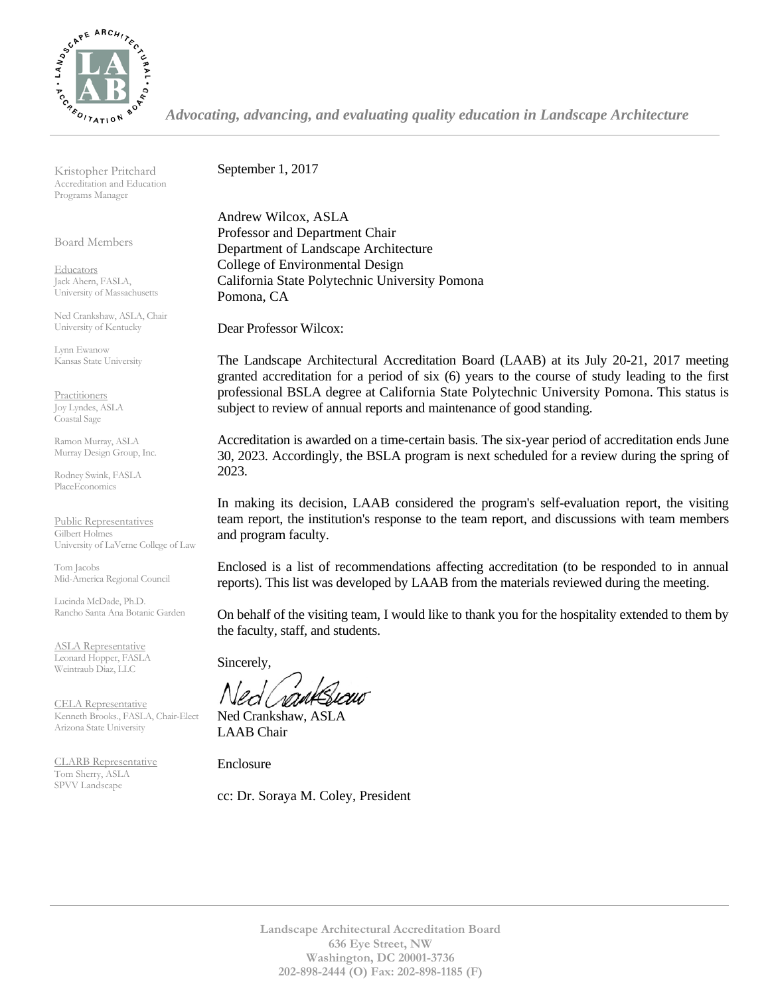

*Advocating, advancing, and evaluating quality education in Landscape Architecture*

Kristopher Pritchard Accreditation and Education Programs Manager

Board Members

**Educators** Jack Ahern, FASLA, University of Massachusetts

Ned Crankshaw, ASLA, Chair University of Kentucky

Lynn Ewanow Kansas State University

**Practitioners** Joy Lyndes, ASLA Coastal Sage

Ramon Murray, ASLA Murray Design Group, Inc.

Rodney Swink, FASLA PlaceEconomics

Public Representatives Gilbert Holmes University of LaVerne College of Law

Tom Jacobs Mid-America Regional Council

Lucinda McDade, Ph.D. Rancho Santa Ana Botanic Garden

ASLA Representative Leonard Hopper, FASLA Weintraub Diaz, LLC

CELA Representative Kenneth Brooks., FASLA, Chair-Elect Arizona State University

CLARB Representative Tom Sherry, ASLA SPVV Landscape

September 1, 2017

Andrew Wilcox, ASLA Professor and Department Chair Department of Landscape Architecture College of Environmental Design California State Polytechnic University Pomona Pomona, CA

Dear Professor Wilcox:

The Landscape Architectural Accreditation Board (LAAB) at its July 20-21, 2017 meeting granted accreditation for a period of six (6) years to the course of study leading to the first professional BSLA degree at California State Polytechnic University Pomona. This status is subject to review of annual reports and maintenance of good standing.

Accreditation is awarded on a time-certain basis. The six-year period of accreditation ends June 30, 2023. Accordingly, the BSLA program is next scheduled for a review during the spring of 2023.

In making its decision, LAAB considered the program's self-evaluation report, the visiting team report, the institution's response to the team report, and discussions with team members and program faculty.

Enclosed is a list of recommendations affecting accreditation (to be responded to in annual reports). This list was developed by LAAB from the materials reviewed during the meeting.

On behalf of the visiting team, I would like to thank you for the hospitality extended to them by the faculty, staff, and students.

Sincerely,

Ned Crankshaw, ASLA LAAB Chair

Enclosure

cc: Dr. Soraya M. Coley, President